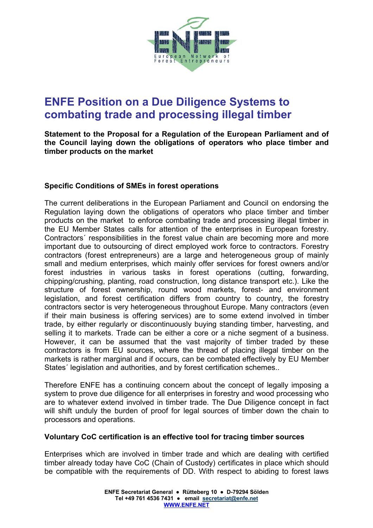

# **ENFE Position on a Due Diligence Systems to combating trade and processing illegal timber**

**Statement to the Proposal for a Regulation of the European Parliament and of the Council laying down the obligations of operators who place timber and timber products on the market** 

## **Specific Conditions of SMEs in forest operations**

The current deliberations in the European Parliament and Council on endorsing the Regulation laying down the obligations of operators who place timber and timber products on the market to enforce combating trade and processing illegal timber in the EU Member States calls for attention of the enterprises in European forestry. Contractors´ responsibilities in the forest value chain are becoming more and more important due to outsourcing of direct employed work force to contractors. Forestry contractors (forest entrepreneurs) are a large and heterogeneous group of mainly small and medium enterprises, which mainly offer services for forest owners and/or forest industries in various tasks in forest operations (cutting, forwarding, chipping/crushing, planting, road construction, long distance transport etc.). Like the structure of forest ownership, round wood markets, forest- and environment legislation, and forest certification differs from country to country, the forestry contractors sector is very heterogeneous throughout Europe. Many contractors (even if their main business is offering services) are to some extend involved in timber trade, by either regularly or discontinuously buying standing timber, harvesting, and selling it to markets. Trade can be either a core or a niche segment of a business. However, it can be assumed that the vast majority of timber traded by these contractors is from EU sources, where the thread of placing illegal timber on the markets is rather marginal and if occurs, can be combated effectively by EU Member States' legislation and authorities, and by forest certification schemes...

Therefore ENFE has a continuing concern about the concept of legally imposing a system to prove due diligence for all enterprises in forestry and wood processing who are to whatever extend involved in timber trade. The Due Diligence concept in fact will shift unduly the burden of proof for legal sources of timber down the chain to processors and operations.

## **Voluntary CoC certification is an effective tool for tracing timber sources**

Enterprises which are involved in timber trade and which are dealing with certified timber already today have CoC (Chain of Custody) certificates in place which should be compatible with the requirements of DD. With respect to abiding to forest laws